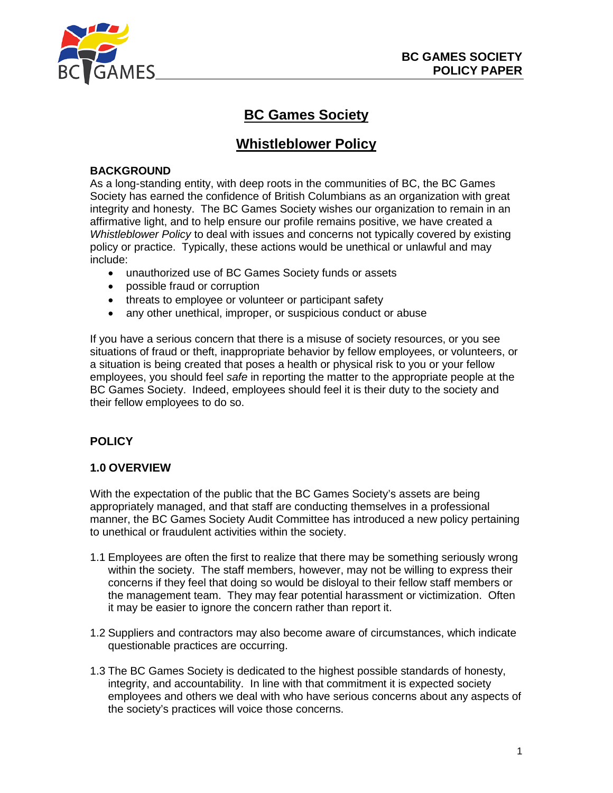

# **BC Games Society**

## **Whistleblower Policy**

#### **BACKGROUND**

As a long-standing entity, with deep roots in the communities of BC, the BC Games Society has earned the confidence of British Columbians as an organization with great integrity and honesty. The BC Games Society wishes our organization to remain in an affirmative light, and to help ensure our profile remains positive, we have created a *Whistleblower Policy* to deal with issues and concerns not typically covered by existing policy or practice. Typically, these actions would be unethical or unlawful and may include:

- unauthorized use of BC Games Society funds or assets
- possible fraud or corruption
- threats to employee or volunteer or participant safety
- any other unethical, improper, or suspicious conduct or abuse

If you have a serious concern that there is a misuse of society resources, or you see situations of fraud or theft, inappropriate behavior by fellow employees, or volunteers, or a situation is being created that poses a health or physical risk to you or your fellow employees, you should feel *safe* in reporting the matter to the appropriate people at the BC Games Society. Indeed, employees should feel it is their duty to the society and their fellow employees to do so.

## **POLICY**

#### **1.0 OVERVIEW**

With the expectation of the public that the BC Games Society's assets are being appropriately managed, and that staff are conducting themselves in a professional manner, the BC Games Society Audit Committee has introduced a new policy pertaining to unethical or fraudulent activities within the society.

- 1.1 Employees are often the first to realize that there may be something seriously wrong within the society. The staff members, however, may not be willing to express their concerns if they feel that doing so would be disloyal to their fellow staff members or the management team. They may fear potential harassment or victimization. Often it may be easier to ignore the concern rather than report it.
- 1.2 Suppliers and contractors may also become aware of circumstances, which indicate questionable practices are occurring.
- 1.3 The BC Games Society is dedicated to the highest possible standards of honesty, integrity, and accountability. In line with that commitment it is expected society employees and others we deal with who have serious concerns about any aspects of the society's practices will voice those concerns.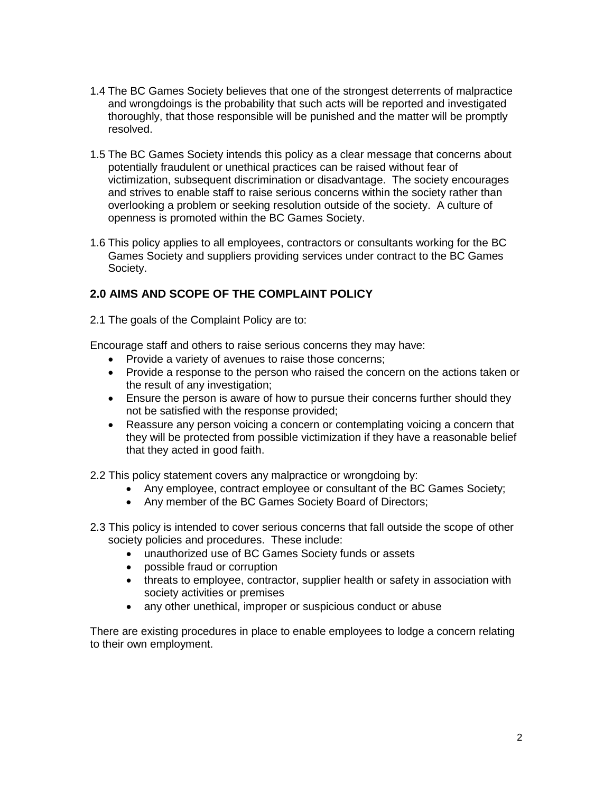- 1.4 The BC Games Society believes that one of the strongest deterrents of malpractice and wrongdoings is the probability that such acts will be reported and investigated thoroughly, that those responsible will be punished and the matter will be promptly resolved.
- 1.5 The BC Games Society intends this policy as a clear message that concerns about potentially fraudulent or unethical practices can be raised without fear of victimization, subsequent discrimination or disadvantage. The society encourages and strives to enable staff to raise serious concerns within the society rather than overlooking a problem or seeking resolution outside of the society. A culture of openness is promoted within the BC Games Society.
- 1.6 This policy applies to all employees, contractors or consultants working for the BC Games Society and suppliers providing services under contract to the BC Games Society.

## **2.0 AIMS AND SCOPE OF THE COMPLAINT POLICY**

2.1 The goals of the Complaint Policy are to:

Encourage staff and others to raise serious concerns they may have:

- Provide a variety of avenues to raise those concerns;
- Provide a response to the person who raised the concern on the actions taken or the result of any investigation;
- Ensure the person is aware of how to pursue their concerns further should they not be satisfied with the response provided;
- Reassure any person voicing a concern or contemplating voicing a concern that they will be protected from possible victimization if they have a reasonable belief that they acted in good faith.

2.2 This policy statement covers any malpractice or wrongdoing by:

- Any employee, contract employee or consultant of the BC Games Society;
- Any member of the BC Games Society Board of Directors;
- 2.3 This policy is intended to cover serious concerns that fall outside the scope of other society policies and procedures. These include:
	- unauthorized use of BC Games Society funds or assets
	- possible fraud or corruption
	- threats to employee, contractor, supplier health or safety in association with society activities or premises
	- any other unethical, improper or suspicious conduct or abuse

There are existing procedures in place to enable employees to lodge a concern relating to their own employment.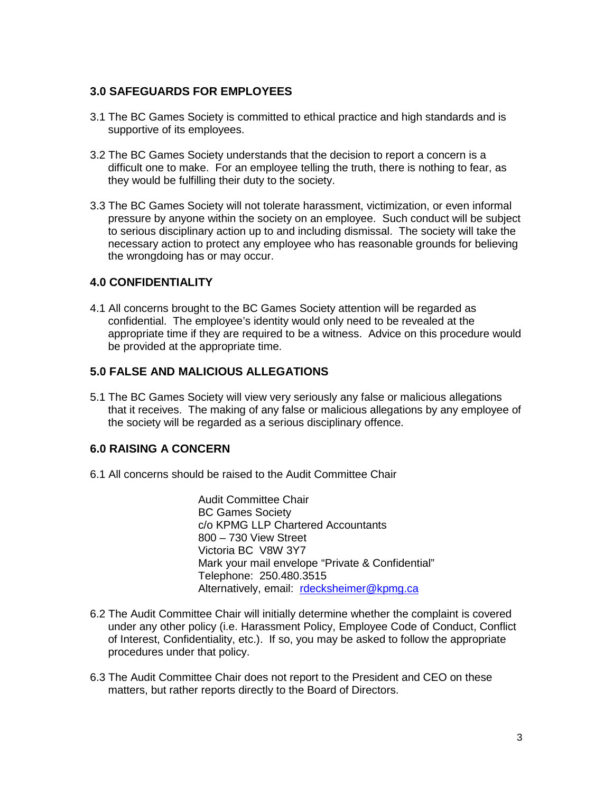#### **3.0 SAFEGUARDS FOR EMPLOYEES**

- 3.1 The BC Games Society is committed to ethical practice and high standards and is supportive of its employees.
- 3.2 The BC Games Society understands that the decision to report a concern is a difficult one to make. For an employee telling the truth, there is nothing to fear, as they would be fulfilling their duty to the society.
- 3.3 The BC Games Society will not tolerate harassment, victimization, or even informal pressure by anyone within the society on an employee. Such conduct will be subject to serious disciplinary action up to and including dismissal. The society will take the necessary action to protect any employee who has reasonable grounds for believing the wrongdoing has or may occur.

#### **4.0 CONFIDENTIALITY**

4.1 All concerns brought to the BC Games Society attention will be regarded as confidential. The employee's identity would only need to be revealed at the appropriate time if they are required to be a witness. Advice on this procedure would be provided at the appropriate time.

#### **5.0 FALSE AND MALICIOUS ALLEGATIONS**

5.1 The BC Games Society will view very seriously any false or malicious allegations that it receives. The making of any false or malicious allegations by any employee of the society will be regarded as a serious disciplinary offence.

## **6.0 RAISING A CONCERN**

6.1 All concerns should be raised to the Audit Committee Chair

Audit Committee Chair BC Games Society c/o KPMG LLP Chartered Accountants 800 – 730 View Street Victoria BC V8W 3Y7 Mark your mail envelope "Private & Confidential" Telephone: 250.480.3515 Alternatively, email: [rdecksheimer@kpmg.ca](mailto:rdecksheimer@kpmg.ca)

- 6.2 The Audit Committee Chair will initially determine whether the complaint is covered under any other policy (i.e. Harassment Policy, Employee Code of Conduct, Conflict of Interest, Confidentiality, etc.). If so, you may be asked to follow the appropriate procedures under that policy.
- 6.3 The Audit Committee Chair does not report to the President and CEO on these matters, but rather reports directly to the Board of Directors.